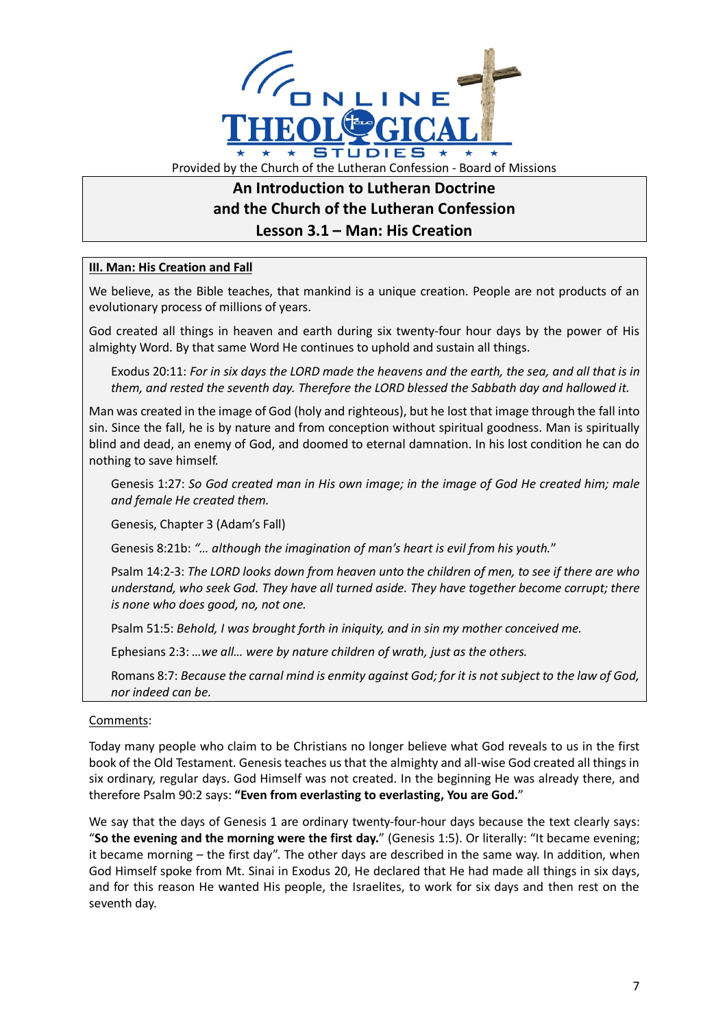

## **An Introduction to Lutheran Doctrine and the Church of the Lutheran Confession Lesson 3.1 – Man: His Creation**

## **III. Man: His Creation and Fall**

We believe, as the Bible teaches, that mankind is a unique creation. People are not products of an evolutionary process of millions of years.

God created all things in heaven and earth during six twenty-four hour days by the power of His almighty Word. By that same Word He continues to uphold and sustain all things.

Exodus 20:11: *For in six days the LORD made the heavens and the earth, the sea, and all that is in them, and rested the seventh day. Therefore the LORD blessed the Sabbath day and hallowed it.*

Man was created in the image of God (holy and righteous), but he lost that image through the fall into sin. Since the fall, he is by nature and from conception without spiritual goodness. Man is spiritually blind and dead, an enemy of God, and doomed to eternal damnation. In his lost condition he can do nothing to save himself.

Genesis 1:27: *So God created man in His own image; in the image of God He created him; male and female He created them.*

Genesis, Chapter 3 (Adam's Fall)

Genesis 8:21b: *"… although the imagination of man's heart is evil from his youth.*"

Psalm 14:2-3: *The LORD looks down from heaven unto the children of men, to see if there are who understand, who seek God. They have all turned aside. They have together become corrupt; there is none who does good, no, not one.*

Psalm 51:5: *Behold, I was brought forth in iniquity, and in sin my mother conceived me.*

Ephesians 2:3: *…we all… were by nature children of wrath, just as the others.*

Romans 8:7: *Because the carnal mind is enmity against God; for it is not subject to the law of God, nor indeed can be.*

## Comments:

Today many people who claim to be Christians no longer believe what God reveals to us in the first book of the Old Testament. Genesis teaches us that the almighty and all-wise God created all things in six ordinary, regular days. God Himself was not created. In the beginning He was already there, and therefore Psalm 90:2 says: **"Even from everlasting to everlasting, You are God.**"

We say that the days of Genesis 1 are ordinary twenty-four-hour days because the text clearly says: "**So the evening and the morning were the first day.**" (Genesis 1:5). Or literally: "It became evening; it became morning – the first day". The other days are described in the same way. In addition, when God Himself spoke from Mt. Sinai in Exodus 20, He declared that He had made all things in six days, and for this reason He wanted His people, the Israelites, to work for six days and then rest on the seventh day.